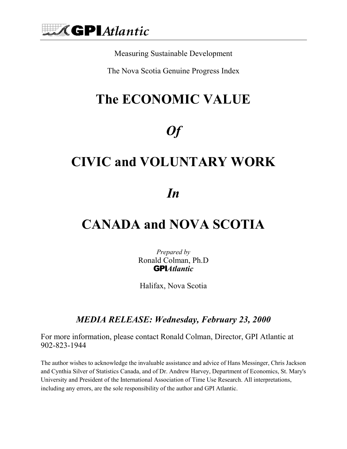

Measuring Sustainable Development

The Nova Scotia Genuine Progress Index

## **The ECONOMIC VALUE**

## *Of*

### **CIVIC and VOLUNTARY WORK**

### *In*

### **CANADA and NOVA SCOTIA**

*Prepared by*  Ronald Colman, Ph.D GPI*Atlantic* 

Halifax, Nova Scotia

#### *MEDIA RELEASE: Wednesday, February 23, 2000*

For more information, please contact Ronald Colman, Director, GPI Atlantic at 902-823-1944

The author wishes to acknowledge the invaluable assistance and advice of Hans Messinger, Chris Jackson and Cynthia Silver of Statistics Canada, and of Dr. Andrew Harvey, Department of Economics, St. Mary's University and President of the International Association of Time Use Research. All interpretations, including any errors, are the sole responsibility of the author and GPI Atlantic.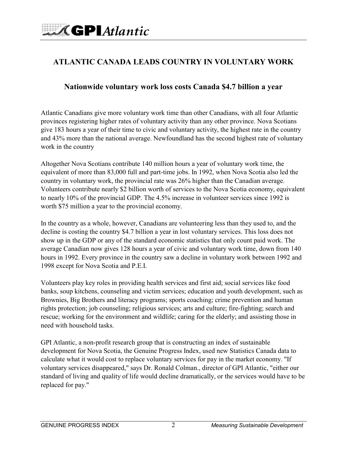#### **ATLANTIC CANADA LEADS COUNTRY IN VOLUNTARY WORK**

#### **Nationwide voluntary work loss costs Canada \$4.7 billion a year**

Atlantic Canadians give more voluntary work time than other Canadians, with all four Atlantic provinces registering higher rates of voluntary activity than any other province. Nova Scotians give 183 hours a year of their time to civic and voluntary activity, the highest rate in the country and 43% more than the national average. Newfoundland has the second highest rate of voluntary work in the country

Altogether Nova Scotians contribute 140 million hours a year of voluntary work time, the equivalent of more than 83,000 full and part-time jobs. In 1992, when Nova Scotia also led the country in voluntary work, the provincial rate was 26% higher than the Canadian average. Volunteers contribute nearly \$2 billion worth of services to the Nova Scotia economy, equivalent to nearly 10% of the provincial GDP. The 4.5% increase in volunteer services since 1992 is worth \$75 million a year to the provincial economy.

In the country as a whole, however, Canadians are volunteering less than they used to, and the decline is costing the country \$4.7 billion a year in lost voluntary services. This loss does not show up in the GDP or any of the standard economic statistics that only count paid work. The average Canadian now gives 128 hours a year of civic and voluntary work time, down from 140 hours in 1992. Every province in the country saw a decline in voluntary work between 1992 and 1998 except for Nova Scotia and P.E.I.

Volunteers play key roles in providing health services and first aid; social services like food banks, soup kitchens, counseling and victim services; education and youth development, such as Brownies, Big Brothers and literacy programs; sports coaching; crime prevention and human rights protection; job counseling; religious services; arts and culture; fire-fighting; search and rescue; working for the environment and wildlife; caring for the elderly; and assisting those in need with household tasks.

GPI Atlantic, a non-profit research group that is constructing an index of sustainable development for Nova Scotia, the Genuine Progress Index, used new Statistics Canada data to calculate what it would cost to replace voluntary services for pay in the market economy. "If voluntary services disappeared," says Dr. Ronald Colman., director of GPI Atlantic, "either our standard of living and quality of life would decline dramatically, or the services would have to be replaced for pay."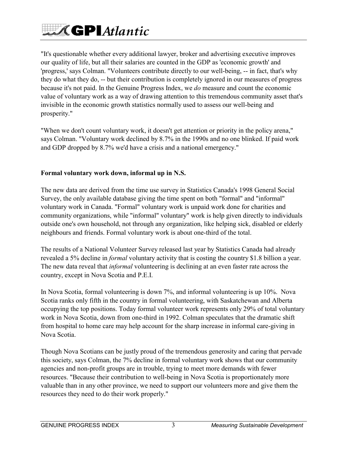# $\mathcal{M}$ GPIAtlantic

"It's questionable whether every additional lawyer, broker and advertising executive improves our quality of life, but all their salaries are counted in the GDP as 'economic growth' and 'progress,' says Colman. "Volunteers contribute directly to our well-being, -- in fact, that's why they do what they do, -- but their contribution is completely ignored in our measures of progress because it's not paid. In the Genuine Progress Index, we *do* measure and count the economic value of voluntary work as a way of drawing attention to this tremendous community asset that's invisible in the economic growth statistics normally used to assess our well-being and prosperity."

"When we don't count voluntary work, it doesn't get attention or priority in the policy arena," says Colman. "Voluntary work declined by 8.7% in the 1990s and no one blinked. If paid work and GDP dropped by 8.7% we'd have a crisis and a national emergency."

#### **Formal voluntary work down, informal up in N.S.**

The new data are derived from the time use survey in Statistics Canada's 1998 General Social Survey, the only available database giving the time spent on both "formal" and "informal" voluntary work in Canada. "Formal" voluntary work is unpaid work done for charities and community organizations, while "informal" voluntary" work is help given directly to individuals outside one's own household, not through any organization, like helping sick, disabled or elderly neighbours and friends. Formal voluntary work is about one-third of the total.

The results of a National Volunteer Survey released last year by Statistics Canada had already revealed a 5% decline in *formal* voluntary activity that is costing the country \$1.8 billion a year. The new data reveal that *informal* volunteering is declining at an even faster rate across the country, except in Nova Scotia and P.E.I.

In Nova Scotia, formal volunteering is down 7%, and informal volunteering is up 10%. Nova Scotia ranks only fifth in the country in formal volunteering, with Saskatchewan and Alberta occupying the top positions. Today formal volunteer work represents only 29% of total voluntary work in Nova Scotia, down from one-third in 1992. Colman speculates that the dramatic shift from hospital to home care may help account for the sharp increase in informal care-giving in Nova Scotia.

Though Nova Scotians can be justly proud of the tremendous generosity and caring that pervade this society, says Colman, the 7% decline in formal voluntary work shows that our community agencies and non-profit groups are in trouble, trying to meet more demands with fewer resources. "Because their contribution to well-being in Nova Scotia is proportionately more valuable than in any other province, we need to support our volunteers more and give them the resources they need to do their work properly."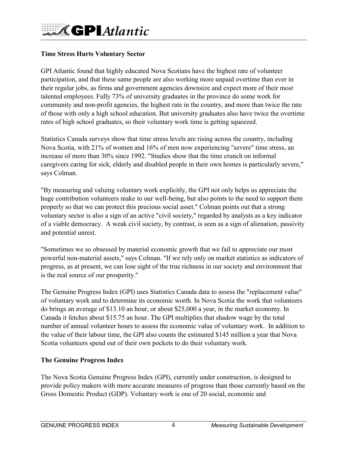#### **Time Stress Hurts Voluntary Sector**

GPI Atlantic found that highly educated Nova Scotians have the highest rate of volunteer participation, and that these same people are also working more unpaid overtime than ever in their regular jobs, as firms and government agencies downsize and expect more of their most talented employees. Fully 73% of university graduates in the province do some work for community and non-profit agencies, the highest rate in the country, and more than twice the rate of those with only a high school education. But university graduates also have twice the overtime rates of high school graduates, so their voluntary work time is getting squeezed.

Statistics Canada surveys show that time stress levels are rising across the country, including Nova Scotia, with 21% of women and 16% of men now experiencing "severe" time stress, an increase of more than 30% since 1992. "Studies show that the time crunch on informal caregivers caring for sick, elderly and disabled people in their own homes is particularly severe," says Colman.

"By measuring and valuing voluntary work explicitly, the GPI not only helps us appreciate the huge contribution volunteers make to our well-being, but also points to the need to support them properly so that we can protect this precious social asset." Colman points out that a strong voluntary sector is also a sign of an active "civil society," regarded by analysts as a key indicator of a viable democracy. A weak civil society, by contrast, is seen as a sign of alienation, passivity and potential unrest.

"Sometimes we so obsessed by material economic growth that we fail to appreciate our most powerful non-material assets," says Colman. "If we rely only on market statistics as indicators of progress, as at present, we can lose sight of the true richness in our society and environment that is the real source of our prosperity."

The Genuine Progress Index (GPI) uses Statistics Canada data to assess the "replacement value" of voluntary work and to determine its economic worth. In Nova Scotia the work that volunteers do brings an average of \$13.10 an hour, or about \$25,000 a year, in the market economy. In Canada it fetches about \$15.75 an hour. The GPI multiplies that shadow wage by the total number of annual volunteer hours to assess the economic value of voluntary work. In addition to the value of their labour time, the GPI also counts the estimated \$145 million a year that Nova Scotia volunteers spend out of their own pockets to do their voluntary work.

#### **The Genuine Progress Index**

The Nova Scotia Genuine Progress Index (GPI), currently under construction, is designed to provide policy makers with more accurate measures of progress than those currently based on the Gross Domestic Product (GDP). Voluntary work is one of 20 social, economic and